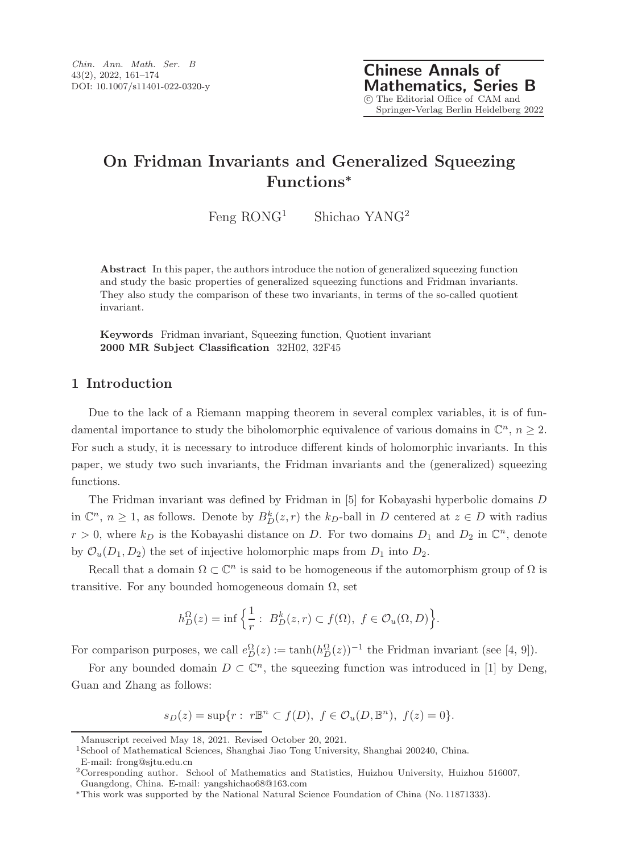Feng  $ROMG<sup>1</sup>$  Shichao YANG<sup>2</sup>

**Abstract** In this paper, the authors introduce the notion of generalized squeezing function and study the basic properties of generalized squeezing functions and Fridman invariants. They also study the comparison of these two invariants, in terms of the so-called quotient invariant.

**Keywords** Fridman invariant, Squeezing function, Quotient invariant **2000 MR Subject Classification** 32H02, 32F45

## **1 Introduction**

Due to the lack of a Riemann mapping theorem in several complex variables, it is of fundamental importance to study the biholomorphic equivalence of various domains in  $\mathbb{C}^n$ ,  $n \geq 2$ . For such a study, it is necessary to introduce different kinds of holomorphic invariants. In this paper, we study two such invariants, the Fridman invariants and the (generalized) squeezing functions.

The Fridman invariant was defined by Fridman in [5] for Kobayashi hyperbolic domains D in  $\mathbb{C}^n$ ,  $n \geq 1$ , as follows. Denote by  $B_D^k(z, r)$  the  $k_D$ -ball in D centered at  $z \in D$  with radius  $r > 0$ , where  $k_D$  is the Kobayashi distance on D. For two domains  $D_1$  and  $D_2$  in  $\mathbb{C}^n$ , denote by  $\mathcal{O}_u(D_1, D_2)$  the set of injective holomorphic maps from  $D_1$  into  $D_2$ .

Recall that a domain  $\Omega \subset \mathbb{C}^n$  is said to be homogeneous if the automorphism group of  $\Omega$  is transitive. For any bounded homogeneous domain  $\Omega$ , set

$$
h_D^{\Omega}(z) = \inf \left\{ \frac{1}{r} : B_D^k(z, r) \subset f(\Omega), \ f \in \mathcal{O}_u(\Omega, D) \right\}.
$$

For comparison purposes, we call  $e_D^{\Omega}(z) := \tanh(h_D^{\Omega}(z))^{-1}$  the Fridman invariant (see [4, 9]).

For any bounded domain  $D \subset \mathbb{C}^n$ , the squeezing function was introduced in [1] by Deng, Guan and Zhang as follows:

 $s_D(z) = \sup\{r : r \mathbb{B}^n \subset f(D), f \in \mathcal{O}_u(D, \mathbb{B}^n), f(z) = 0\}.$ 

Manuscript received May 18, 2021. Revised October 20, 2021.

<sup>1</sup>School of Mathematical Sciences, Shanghai Jiao Tong University, Shanghai 200240, China.

E-mail: frong@sjtu.edu.cn

<sup>2</sup>Corresponding author. School of Mathematics and Statistics, Huizhou University, Huizhou 516007, Guangdong, China. E-mail: yangshichao68@163.com

<sup>∗</sup>This work was supported by the National Natural Science Foundation of China (No. 11871333).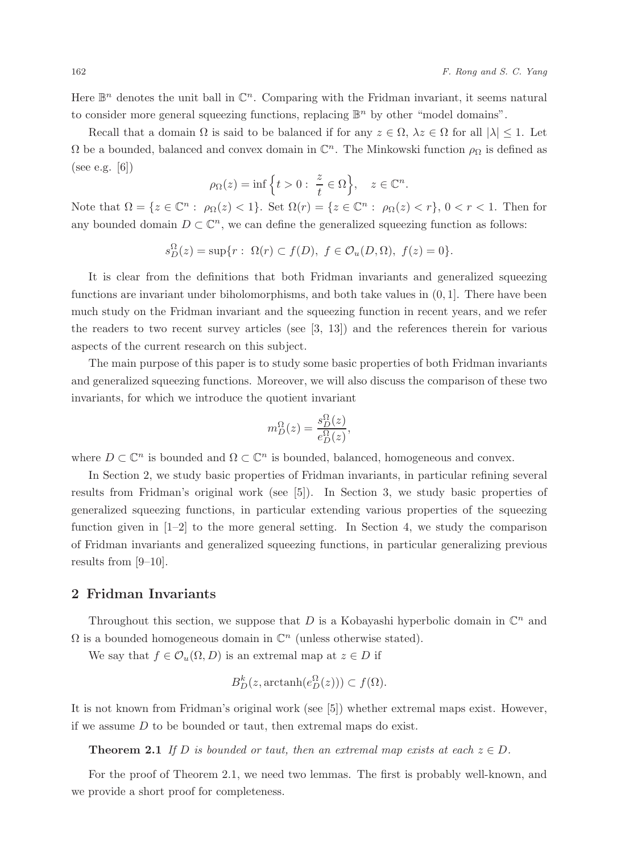Here  $\mathbb{B}^n$  denotes the unit ball in  $\mathbb{C}^n$ . Comparing with the Fridman invariant, it seems natural to consider more general squeezing functions, replacing  $\mathbb{B}^n$  by other "model domains".

Recall that a domain  $\Omega$  is said to be balanced if for any  $z \in \Omega$ ,  $\lambda z \in \Omega$  for all  $|\lambda| \leq 1$ . Let  $\Omega$  be a bounded, balanced and convex domain in  $\mathbb{C}^n$ . The Minkowski function  $\rho_{\Omega}$  is defined as (see e.g. [6])

$$
\rho_{\Omega}(z) = \inf \Big\{ t > 0 : \ \frac{z}{t} \in \Omega \Big\}, \quad z \in \mathbb{C}^n.
$$

Note that  $\Omega = \{z \in \mathbb{C}^n : \rho_{\Omega}(z) < 1\}$ . Set  $\Omega(r) = \{z \in \mathbb{C}^n : \rho_{\Omega}(z) < r\}$ ,  $0 < r < 1$ . Then for any bounded domain  $D \subset \mathbb{C}^n$ , we can define the generalized squeezing function as follows:

$$
s_D^{\Omega}(z) = \sup\{r : \Omega(r) \subset f(D), \ f \in \mathcal{O}_u(D,\Omega), \ f(z) = 0\}.
$$

It is clear from the definitions that both Fridman invariants and generalized squeezing functions are invariant under biholomorphisms, and both take values in  $(0, 1]$ . There have been much study on the Fridman invariant and the squeezing function in recent years, and we refer the readers to two recent survey articles (see  $[3, 13]$ ) and the references therein for various aspects of the current research on this subject.

The main purpose of this paper is to study some basic properties of both Fridman invariants and generalized squeezing functions. Moreover, we will also discuss the comparison of these two invariants, for which we introduce the quotient invariant

$$
m_D^{\Omega}(z) = \frac{s_D^{\Omega}(z)}{e_D^{\Omega}(z)},
$$

where  $D \subset \mathbb{C}^n$  is bounded and  $\Omega \subset \mathbb{C}^n$  is bounded, balanced, homogeneous and convex.

In Section 2, we study basic properties of Fridman invariants, in particular refining several results from Fridman's original work (see [5]). In Section 3, we study basic properties of generalized squeezing functions, in particular extending various properties of the squeezing function given in  $[1-2]$  to the more general setting. In Section 4, we study the comparison of Fridman invariants and generalized squeezing functions, in particular generalizing previous results from [9–10].

## **2 Fridman Invariants**

Throughout this section, we suppose that  $D$  is a Kobayashi hyperbolic domain in  $\mathbb{C}^n$  and  $\Omega$  is a bounded homogeneous domain in  $\mathbb{C}^n$  (unless otherwise stated).

We say that  $f \in \mathcal{O}_u(\Omega, D)$  is an extremal map at  $z \in D$  if

$$
B_D^k(z, \operatorname{arctanh}(e_D^{\Omega}(z))) \subset f(\Omega).
$$

It is not known from Fridman's original work (see [5]) whether extremal maps exist. However, if we assume  $D$  to be bounded or taut, then extremal maps do exist.

**Theorem 2.1** *If* D is bounded or taut, then an extremal map exists at each  $z \in D$ .

For the proof of Theorem 2.1, we need two lemmas. The first is probably well-known, and we provide a short proof for completeness.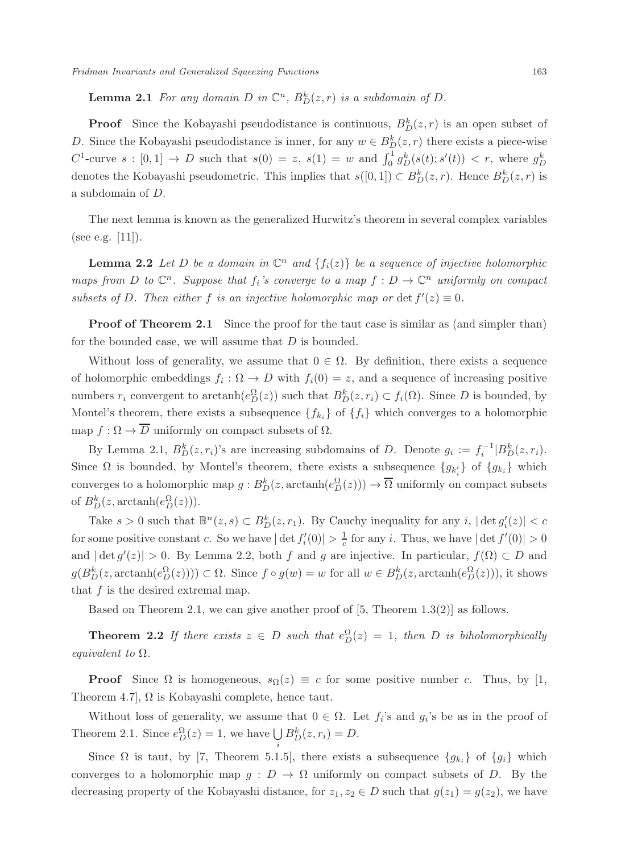**Lemma 2.1** *For any domain D in*  $\mathbb{C}^n$ *,*  $B_D^k(z,r)$  *is a subdomain of D*.

**Proof** Since the Kobayashi pseudodistance is continuous,  $B_{D}^{\kappa}(z, r)$  is an open subset of D. Since the Kobayashi pseudodistance is inner, for any  $w \in B_D^{\kappa}(z, r)$  there exists a piece-wise  $C^1$ -curve  $s : [0,1] \to D$  such that  $s(0) = z$ ,  $s(1) = w$  and  $\int_0^1 g_D^k(s(t); s'(t)) < r$ , where  $g_L^k$ denotes the Kobayashi pseudometric. This implies that  $s([0,1]) \subset B_D^k(z,r)$ . Hence  $B_D^k(z,r)$  is a subdomain of D.

The next lemma is known as the generalized Hurwitz's theorem in several complex variables (see e.g. [11]).

**Lemma 2.2** *Let D be a domain in*  $\mathbb{C}^n$  *and*  $\{f_i(z)\}$  *be a sequence of injective holomorphic maps from* D *to*  $\mathbb{C}^n$ . Suppose that  $f_i$ 's converge to a map  $f: D \to \mathbb{C}^n$  uniformly on compact *subsets of* D. Then either f *is an injective holomorphic map or*  $\det f'(z) \equiv 0$ .

**Proof of Theorem 2.1** Since the proof for the taut case is similar as (and simpler than) for the bounded case, we will assume that  $D$  is bounded.

Without loss of generality, we assume that  $0 \in \Omega$ . By definition, there exists a sequence of holomorphic embeddings  $f_i : \Omega \to D$  with  $f_i(0) = z$ , and a sequence of increasing positive numbers  $r_i$  convergent to arctanh $(e_D^{\Omega}(z))$  such that  $B_D^k(z, r_i) \subset f_i(\Omega)$ . Since D is bounded, by Montel's theorem, there exists a subsequence  $\{f_{k_i}\}\$  of  $\{f_i\}$  which converges to a holomorphic map  $f : \Omega \to \overline{D}$  uniformly on compact subsets of  $\Omega$ .

By Lemma 2.1,  $B_D^k(z, r_i)$ 's are increasing subdomains of D. Denote  $g_i := f_i^{-1}|B_D^k(z, r_i)$ . Since  $\Omega$  is bounded, by Montel's theorem, there exists a subsequence  $\{g_{k'_i}\}$  of  $\{g_{k_i}\}$  which converges to a holomorphic map  $g : B_D^k(z, \text{arctanh}(e_D^{\Omega}(z))) \to \overline{\Omega}$  uniformly on compact subsets of  $B_D^k(z, \arctanh(e_D^{\Omega}(z)))$ .

Take  $s > 0$  such that  $\mathbb{B}^n(z, s) \subset B_D^k(z, r_1)$ . By Cauchy inequality for any  $i$ ,  $|\det g_i'(z)| < c$ for some positive constant c. So we have  $|\det f_i'(0)| > \frac{1}{c}$  for any i. Thus, we have  $|\det f'(0)| > 0$ and  $|\det g'(z)| > 0$ . By Lemma 2.2, both f and g are injective. In particular,  $f(\Omega) \subset D$  and  $g(B_D^k(z, \operatorname{arctanh}(e_D^{\Omega}(z)))) \subset \Omega$ . Since  $f \circ g(w) = w$  for all  $w \in B_D^k(z, \operatorname{arctanh}(e_D^{\Omega}(z)))$ , it shows that  $f$  is the desired extremal map.

Based on Theorem 2.1, we can give another proof of  $[5,$  Theorem 1.3(2)] as follows.

**Theorem 2.2** *If there exists*  $z \in D$  *such that*  $e_D^{\Omega}(z) = 1$ *, then D is biholomorphically equivalent to* Ω*.*

**Proof** Since  $\Omega$  is homogeneous,  $s_{\Omega}(z) \equiv c$  for some positive number c. Thus, by [1, Theorem 4.7,  $\Omega$  is Kobayashi complete, hence taut.

Without loss of generality, we assume that  $0 \in \Omega$ . Let  $f_i$ 's and  $g_i$ 's be as in the proof of Theorem 2.1. Since  $e_D^{\Omega}(z) = 1$ , we have  $\bigcup_i B_D^k(z, r_i) = D$ .

Since  $\Omega$  is taut, by [7, Theorem 5.1.5], there exists a subsequence  $\{g_{k_i}\}\$  of  $\{g_i\}$  which converges to a holomorphic map  $g: D \to \Omega$  uniformly on compact subsets of D. By the decreasing property of the Kobayashi distance, for  $z_1, z_2 \in D$  such that  $g(z_1) = g(z_2)$ , we have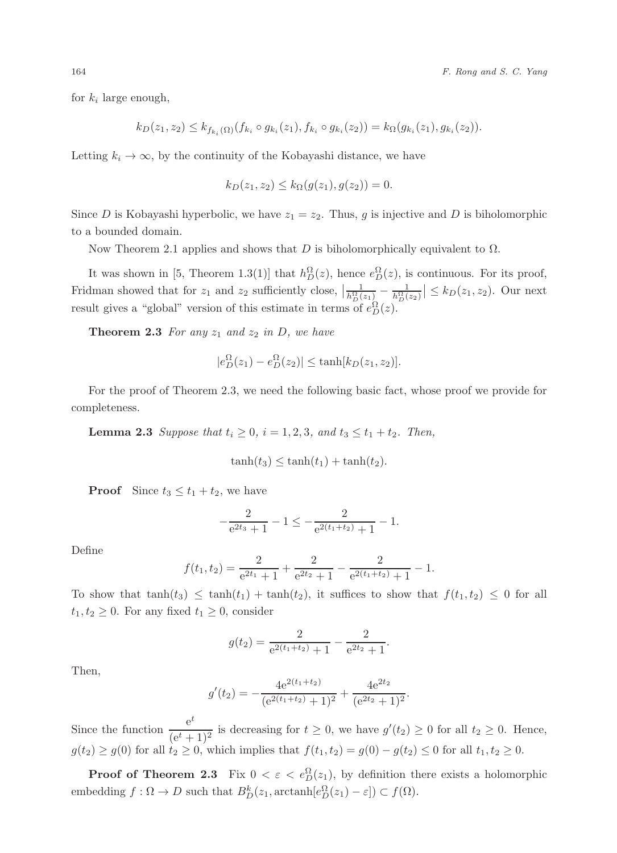for  $k_i$  large enough,

$$
k_D(z_1, z_2) \leq k_{f_{k_i}(\Omega)}(f_{k_i} \circ g_{k_i}(z_1), f_{k_i} \circ g_{k_i}(z_2)) = k_{\Omega}(g_{k_i}(z_1), g_{k_i}(z_2)).
$$

Letting  $k_i \to \infty$ , by the continuity of the Kobayashi distance, we have

$$
k_D(z_1, z_2) \le k_{\Omega}(g(z_1), g(z_2)) = 0.
$$

Since D is Kobayashi hyperbolic, we have  $z_1 = z_2$ . Thus, g is injective and D is biholomorphic to a bounded domain.

Now Theorem 2.1 applies and shows that D is biholomorphically equivalent to  $\Omega$ .

It was shown in [5, Theorem 1.3(1)] that  $h_D^{\Omega}(z)$ , hence  $e_D^{\Omega}(z)$ , is continuous. For its proof, Fridman showed that for  $z_1$  and  $z_2$  sufficiently close,  $\left| \frac{1}{h_D^{\Omega}(z_1)} - \frac{1}{h_D^{\Omega}(z_2)} \right| \leq k_D(z_1, z_2)$ . Our next result gives a "global" version of this estimate in terms of  $e_D^{\Omega}(z)$ .

**Theorem 2.3** For any  $z_1$  and  $z_2$  in D, we have

$$
|e_D^{\Omega}(z_1) - e_D^{\Omega}(z_2)| \le \tanh[k_D(z_1, z_2)].
$$

For the proof of Theorem 2.3, we need the following basic fact, whose proof we provide for completeness.

**Lemma 2.3** *Suppose that*  $t_i \geq 0$ *,*  $i = 1, 2, 3$ *, and*  $t_3 \leq t_1 + t_2$ *. Then,* 

$$
\tanh(t_3) \leq \tanh(t_1) + \tanh(t_2).
$$

**Proof** Since  $t_3 \leq t_1 + t_2$ , we have

$$
-\frac{2}{e^{2t_3}+1} - 1 \le -\frac{2}{e^{2(t_1+t_2)}+1} - 1.
$$

Define

$$
f(t_1, t_2) = \frac{2}{e^{2t_1} + 1} + \frac{2}{e^{2t_2} + 1} - \frac{2}{e^{2(t_1 + t_2)} + 1} - 1.
$$

To show that  $tanh(t_3) \leq tanh(t_1) + tanh(t_2)$ , it suffices to show that  $f(t_1, t_2) \leq 0$  for all  $t_1, t_2 \geq 0$ . For any fixed  $t_1 \geq 0$ , consider

$$
g(t_2) = \frac{2}{e^{2(t_1+t_2)}+1} - \frac{2}{e^{2t_2}+1}.
$$

Then,

$$
g'(t_2) = -\frac{4e^{2(t_1+t_2)}}{(e^{2(t_1+t_2)}+1)^2} + \frac{4e^{2t_2}}{(e^{2t_2}+1)^2}.
$$

Since the function  $\frac{e^t}{(e^t+1)^2}$  is decreasing for  $t \ge 0$ , we have  $g'(t_2) \ge 0$  for all  $t_2 \ge 0$ . Hence,  $g(t_2) \ge g(0)$  for all  $t_2 \ge 0$ , which implies that  $f(t_1, t_2) = g(0) - g(t_2) \le 0$  for all  $t_1, t_2 \ge 0$ .

**Proof of Theorem 2.3** Fix  $0 < \varepsilon < e_{D}^{\Omega}(z_1)$ , by definition there exists a holomorphic embedding  $f : \Omega \to D$  such that  $B_D^k(z_1, \text{arctanh}[e_D^{\Omega}(z_1) - \varepsilon]) \subset f(\Omega)$ .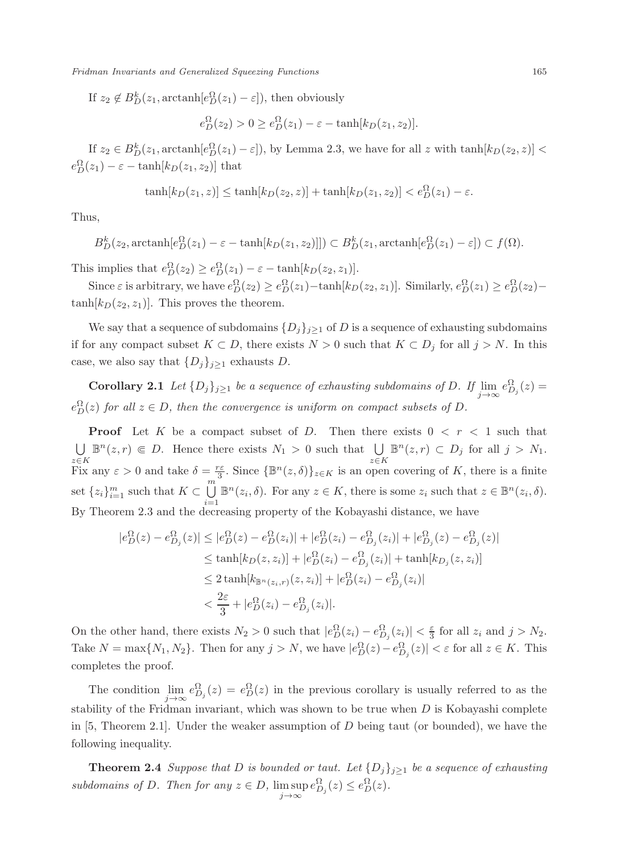If  $z_2 \notin B_D^k(z_1, \text{arctanh}[e_D^{\Omega}(z_1) - \varepsilon])$ , then obviously

$$
e_D^{\Omega}(z_2) > 0 \ge e_D^{\Omega}(z_1) - \varepsilon - \tanh[k_D(z_1, z_2)].
$$

If  $z_2 \in B_D^k(z_1, \arctanh[e_D^{\Omega}(z_1) - \varepsilon])$ , by Lemma 2.3, we have for all z with  $\tanh[k_D(z_2, z)] <$  $e_D^{\Omega}(z_1) - \varepsilon - \tanh[k_D(z_1, z_2)]$  that

$$
\tanh[k_D(z_1,z)] \le \tanh[k_D(z_2,z)] + \tanh[k_D(z_1,z_2)] < e_D^{\Omega}(z_1) - \varepsilon.
$$

Thus,

$$
B_D^k(z_2, \text{arctanh}[e_D^{\Omega}(z_1) - \varepsilon - \tanh[k_D(z_1, z_2)]]) \subset B_D^k(z_1, \text{arctanh}[e_D^{\Omega}(z_1) - \varepsilon]) \subset f(\Omega).
$$

This implies that  $e_D^{\Omega}(z_2) \geq e_D^{\Omega}(z_1) - \varepsilon - \tanh[k_D(z_2, z_1)].$ 

Since  $\varepsilon$  is arbitrary, we have  $e_D^{\Omega}(z_2) \ge e_D^{\Omega}(z_1) - \tanh[k_D(z_2, z_1)]$ . Similarly,  $e_D^{\Omega}(z_1) \ge e_D^{\Omega}(z_2) \tanh[k_D(z_2, z_1)]$ . This proves the theorem.

We say that a sequence of subdomains  $\{D_j\}_{j\geq 1}$  of D is a sequence of exhausting subdomains if for any compact subset  $K \subset D$ , there exists  $N > 0$  such that  $K \subset D_j$  for all  $j > N$ . In this case, we also say that  $\{D_j\}_{j\geq 1}$  exhausts D.

**Corollary 2.1** *Let*  $\{D_j\}_{j\geq 1}$  *be a sequence of exhausting subdomains of* D. If  $\lim_{j\to\infty} e_{D_j}^{\Omega}(z) =$  $e_D^{\Omega}(z)$  *for all*  $z \in D$ *, then the convergence is uniform on compact subsets of*  $D$ *.* 

**Proof** Let K be a compact subset of D. Then there exists  $0 \lt r \lt 1$  such that  $\bigcup_{z \in K} \mathbb{B}^n(z, r) \in D$ . Hence there exists  $N_1 > 0$  such that  $\bigcup_{z \in K} \mathbb{B}^n(z, r) \subset D_j$  for all  $j > N_1$ .  $z \in K$ <br>Fix any  $\varepsilon > 0$  and take  $\delta = \frac{r\varepsilon}{m}$ . Since  ${\mathbb{B}^n(z, \delta)}_{z \in K}$  is an open covering of K, there is a finite set  $\{z_i\}_{i=1}^m$  such that  $K \subset \bigcup_{i=1}^m \mathbb{B}^n(z_i, \delta)$ . For any  $z \in K$ , there is some  $z_i$  such that  $z \in \mathbb{B}^n(z_i, \delta)$ . By Theorem 2.3 and the decreasing property of the Kobayashi distance, we have

$$
|e_D^{\Omega}(z) - e_{D_j}^{\Omega}(z)| \le |e_D^{\Omega}(z) - e_D^{\Omega}(z_i)| + |e_D^{\Omega}(z_i) - e_{D_j}^{\Omega}(z_i)| + |e_{D_j}^{\Omega}(z) - e_{D_j}^{\Omega}(z)|
$$
  
\n
$$
\le \tanh[k_D(z, z_i)] + |e_D^{\Omega}(z_i) - e_{D_j}^{\Omega}(z_i)| + \tanh[k_{D_j}(z, z_i)]
$$
  
\n
$$
\le 2 \tanh[k_{\mathbb{B}^n(z_i, r)}(z, z_i)] + |e_D^{\Omega}(z_i) - e_{D_j}^{\Omega}(z_i)|
$$
  
\n
$$
< \frac{2\varepsilon}{3} + |e_D^{\Omega}(z_i) - e_{D_j}^{\Omega}(z_i)|.
$$

On the other hand, there exists  $N_2 > 0$  such that  $|e_D^{\Omega}(z_i) - e_{D_j}^{\Omega}(z_i)| < \frac{\varepsilon}{2}$  for all  $z_i$  and  $j > N_2$ . Take  $N = \max\{N_1, N_2\}$ . Then for any  $j > N$ , we have  $|e_D^{\Omega}(z) - e_{D_j}^{\Omega}(z)| < \varepsilon$  for all  $z \in K$ . This completes the proof.

The condition  $\lim_{j\to\infty} e_{D_j}^{\Omega}(z) = e_D^{\Omega}(z)$  in the previous corollary is usually referred to as the politic of the Fridman invariant, which was shown to be two when  $D$  is Kehavashi complete stability of the Fridman invariant, which was shown to be true when  $D$  is Kobayashi complete in [5, Theorem 2.1]. Under the weaker assumption of  $D$  being taut (or bounded), we have the following inequality.

**Theorem 2.4** *Suppose that* D *is bounded or taut. Let*  $\{D_j\}_{j\geq 1}$  *be a sequence of exhausting subdomains of D. Then for any*  $z \in D$ *,*  $\limsup_{j \to \infty} e_{D_j}^{\Omega}(z) \le e_D^{\Omega}(z)$ *.*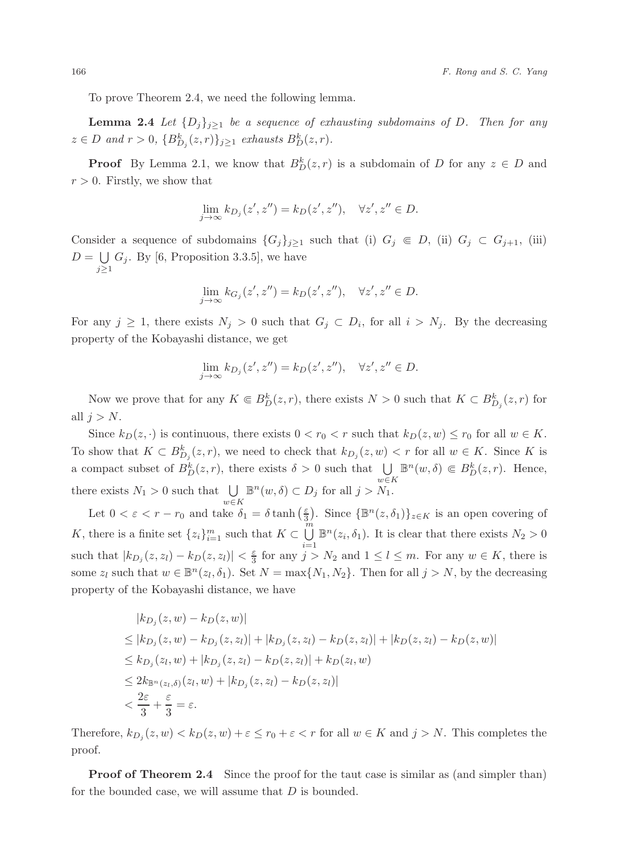To prove Theorem 2.4, we need the following lemma.

**Lemma 2.4** *Let*  $\{D_j\}_{j\geq 1}$  *be a sequence of exhausting subdomains of* D. Then for any  $z \in D$  and  $r > 0$ ,  ${B_{D_j}^{\kappa}(z,r)}_{j \geq 1}$  *exhausts*  $B_D^{\kappa}(z,r)$ *.* 

**Proof** By Lemma 2.1, we know that  $B_D^k(z, r)$  is a subdomain of D for any  $z \in D$  and  $r > 0$ . Firstly, we show that

$$
\lim_{j \to \infty} k_{D_j}(z', z'') = k_D(z', z''), \quad \forall z', z'' \in D.
$$

Consider a sequence of subdomains  $\{G_j\}_{j\geq 1}$  such that (i)  $G_j \in D$ , (ii)  $G_j \subset G_{j+1}$ , (iii)  $D = \bigcup_{j\geq 1} G_j$ . By [6, Proposition 3.3.5], we have  $j \geq 1$ 

$$
\lim_{j \to \infty} k_{G_j}(z', z'') = k_D(z', z''), \quad \forall z', z'' \in D.
$$

For any  $j \geq 1$ , there exists  $N_j > 0$  such that  $G_j \subset D_i$ , for all  $i > N_j$ . By the decreasing property of the Kobayashi distance, we get

$$
\lim_{j \to \infty} k_{D_j}(z', z'') = k_D(z', z''), \quad \forall z', z'' \in D.
$$

Now we prove that for any  $K \n\t\in B_D^k(z, r)$ , there exists  $N > 0$  such that  $K \subset B_{D_j}^k(z, r)$  for all  $j>N$ .

Since  $k_D(z, \cdot)$  is continuous, there exists  $0 < r_0 < r$  such that  $k_D(z, w) \le r_0$  for all  $w \in K$ . To show that  $K \subset B_{D_j}^k(z, r)$ , we need to check that  $k_{D_j}(z, w) < r$  for all  $w \in K$ . Since K is a compact subset of  $B_D^k(z,r)$ , there exists  $\delta > 0$  such that  $\bigcup_{w \in K} \mathbb{B}^n(w,\delta) \in B_D^k(z,r)$ . Hence, there exists  $N_1 > 0$  such that  $\bigcup_{w \in K} \mathbb{B}^n(w, \delta) \subset D_j$  for all  $j > N_1$ .

Let  $0 < \varepsilon < r - r_0$  and take  $\delta_1 = \delta \tanh\left(\frac{\varepsilon}{3}\right)$ . Since  $\{\mathbb{B}^n(z,\delta_1)\}_{z \in K}$  is an open covering of K, there is a finite set  $\{z_i\}_{i=1}^m$  such that  $K \subset \bigcup_{i=1}^m$  $\overline{u} = \overline{v}$ <br>  $\overline{u} = 1$ <br>  $\overline{u} \ge N_2$  and  $1 \le l \le m$ . For any  $w \in K$  there is such that  $|k_{D_j}(z, z_l) - k_D(z, z_l)| < \frac{\varepsilon}{3}$  for any  $j > N_2$  and  $1 \leq l \leq m$ . For any  $w \in K$ , there is some  $z_l$  such that  $w \in \mathbb{B}^n(z_l, \delta_1)$ . Set  $N = \max\{N_1, N_2\}$ . Then for all  $j > N$ , by the decreasing property of the Kobayashi distance, we have

$$
|k_{D_j}(z, w) - k_D(z, w)|
$$
  
\n
$$
\leq |k_{D_j}(z, w) - k_{D_j}(z, z_l)| + |k_{D_j}(z, z_l) - k_D(z, z_l)| + |k_D(z, z_l) - k_D(z, w)|
$$
  
\n
$$
\leq k_{D_j}(z_l, w) + |k_{D_j}(z, z_l) - k_D(z, z_l)| + k_D(z_l, w)
$$
  
\n
$$
\leq 2k_{\mathbb{B}^n(z_l, \delta)}(z_l, w) + |k_{D_j}(z, z_l) - k_D(z, z_l)|
$$
  
\n
$$
< \frac{2\varepsilon}{3} + \frac{\varepsilon}{3} = \varepsilon.
$$

Therefore,  $k_{D_j}(z,w) < k_D(z,w) + \varepsilon \le r_0 + \varepsilon < r$  for all  $w \in K$  and  $j > N$ . This completes the proof.

**Proof of Theorem 2.4** Since the proof for the taut case is similar as (and simpler than) for the bounded case, we will assume that D is bounded.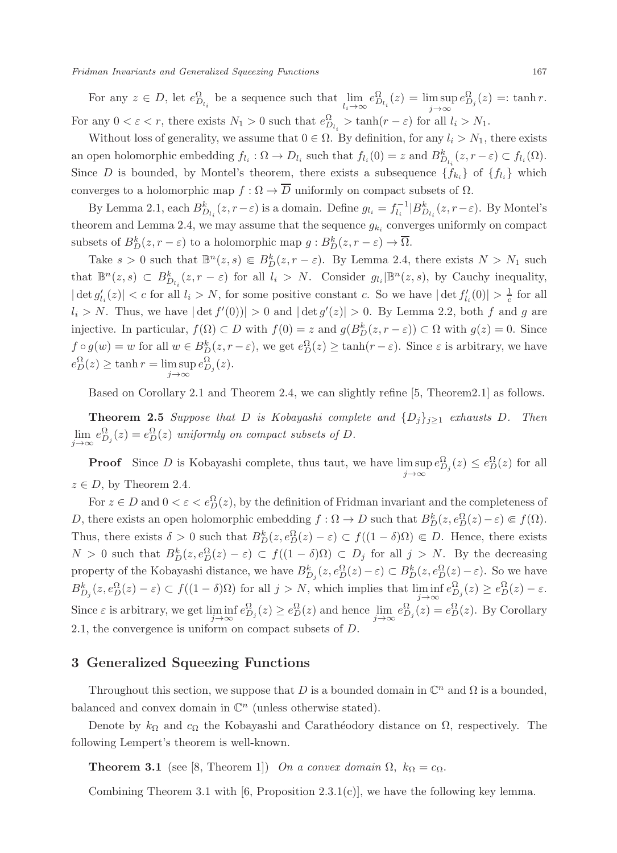For any  $z \in D$ , let  $e_{D_{l_i}}^{\Omega}$  be a sequence such that  $\lim_{l_i \to \infty} e_{D_{l_i}}^{\Omega}(z) = \limsup_{j \to \infty} e_{D_j}^{\Omega}(z) =: \tanh r$ . For any  $0 < \varepsilon < r$ , there exists  $N_1 > 0$  such that  $e_{D_{t_i}}^{\Omega} > \tanh(r - \varepsilon)$  for all  $l_i > N_1$ .

Without loss of generality, we assume that  $0 \in \Omega$ . By definition, for any  $l_i > N_1$ , there exists an open holomorphic embedding  $f_{l_i}: \Omega \to D_{l_i}$  such that  $f_{l_i}(0) = z$  and  $B_{D_{l_i}}^k(z, r - \varepsilon) \subset f_{l_i}(\Omega)$ . Since D is bounded, by Montel's theorem, there exists a subsequence  $\{f_{k_i}\}\$  of  $\{f_{l_i}\}\$  which converges to a holomorphic map  $f : \Omega \to \overline{D}$  uniformly on compact subsets of  $\Omega$ .

By Lemma 2.1, each  $B_{D_{l_i}}^k(z, r-\varepsilon)$  is a domain. Define  $g_{l_i} = f_{l_i}^{-1}|B_{D_{l_i}}^k(z, r-\varepsilon)$ . By Montel's theorem and Lemma 2.4, we may assume that the sequence  $g_{k_i}$  converges uniformly on compact subsets of  $B_D^{\kappa}(z, r - \varepsilon)$  to a holomorphic map  $g : B_D^{\kappa}(z, r - \varepsilon) \to \Omega$ .

Take  $s > 0$  such that  $\mathbb{B}^n(z, s) \in B_D^k(z, r - \varepsilon)$ . By Lemma 2.4, there exists  $N > N_1$  such  $\lim_{k \to \infty} n(z, s) \in B_k^k$  (g, g, s) for all  $l > N$ . Consider  $s \lim_{k \to \infty} n(z, s)$  by Considering in problems that  $\mathbb{B}^n(z,s) \subset B^k_{D_{l_i}}(z,r-\varepsilon)$  for all  $l_i > N$ . Consider  $g_{l_i}|\mathbb{B}^n(z,s)$ , by Cauchy inequality,  $|\det g'_{l_i}(z)| < c$  for all  $l_i > N$ , for some positive constant c. So we have  $|\det f'_{l_i}(0)| > \frac{1}{c}$  for all  $l_i > N$ . Thus, we have  $|\det f'_{l_i}(0)| > 0$ ,  $\Pr$  for all  $l_i > N$ .  $l_i > N$ . Thus, we have  $|\det f'(0)| > 0$  and  $|\det g'(z)| > 0$ . By Lemma 2.2, both f and g are injective. In particular,  $f(\Omega) \subset D$  with  $f(0) = z$  and  $g(B_D^k(z, r - \varepsilon)) \subset \Omega$  with  $g(z) = 0$ . Since  $f \circ g(w) = w$  for all  $w \in B_D^k(z, r - \varepsilon)$ , we get  $e_D^{\Omega}(z) \ge \tanh(r - \varepsilon)$ . Since  $\varepsilon$  is arbitrary, we have  $e_D^{\Omega}(z) \ge \tanh r = \limsup_{j \to \infty} e_{D_j}^{\Omega}(z).$ 

Based on Corollary 2.1 and Theorem 2.4, we can slightly refine [5, Theorem2.1] as follows.

**Theorem 2.5** *Suppose that* D *is Kobayashi complete and*  $\{D_j\}_{j\geq 1}$  *exhausts* D. Then  $\lim_{j\to\infty} e_{D_j}^{\Omega}(z) = e_D^{\Omega}(z)$  *uniformly on compact subsets of* D.

**Proof** Since D is Kobayashi complete, thus taut, we have  $\limsup_{j\to\infty} e_{D_j}^{\Omega}(z) \leq e_D^{\Omega}(z)$  for all  $D$  by Theorem 2.4  $z \in D$ , by Theorem 2.4.

For  $z \in D$  and  $0 < \varepsilon < e_D^{\Omega}(z)$ , by the definition of Fridman invariant and the completeness of D, there exists an open holomorphic embedding  $f : \Omega \to D$  such that  $B_D^k(z, e_D^{\Omega}(z) - \varepsilon) \in f(\Omega)$ . Thus, there exists  $\delta > 0$  such that  $B_D^k(z, e_D^{\Omega}(z) - \varepsilon) \subset f((1 - \delta)\Omega) \Subset D$ . Hence, there exists  $N > 0$  such that  $B_D^k(z, e_D^{\Omega}(z) - \varepsilon) \subset f((1 - \delta)\Omega) \subset D_j$  for all  $j > N$ . By the decreasing property of the Kobayashi distance, we have  $B_{D_j}^k(z, e_D^{\Omega}(z) - \varepsilon) \subset B_D^k(z, e_D^{\Omega}(z) - \varepsilon)$ . So we have  $B_{D_j}^k(z, e_D^{\Omega}(z) - \varepsilon) \subset f((1 - \delta)\Omega)$  for all  $j > N$ , which implies that  $\liminf_{j \to \infty} e_{D_j}^{\Omega}(z) \ge e_D^{\Omega}(z) - \varepsilon$ . Since  $\varepsilon$  is arbitrary, we get  $\liminf_{j\to\infty} e_{D_j}^{\Omega}(z) \ge e_D^{\Omega}(z)$  and hence  $\lim_{j\to\infty} e_{D_j}^{\Omega}(z) = e_D^{\Omega}(z)$ . By Corollary 2.1, the convergence is uniform on compact subsets of D.

#### **3 Generalized Squeezing Functions**

Throughout this section, we suppose that D is a bounded domain in  $\mathbb{C}^n$  and  $\Omega$  is a bounded, balanced and convex domain in  $\mathbb{C}^n$  (unless otherwise stated).

Denote by  $k_{\Omega}$  and  $c_{\Omega}$  the Kobayashi and Carathéodory distance on  $\Omega$ , respectively. The following Lempert's theorem is well-known.

**Theorem 3.1** (see [8, Theorem 1]) *On a convex domain*  $\Omega$ ,  $k_{\Omega} = c_{\Omega}$ .

Combining Theorem 3.1 with [6, Proposition 2.3.1(c)], we have the following key lemma.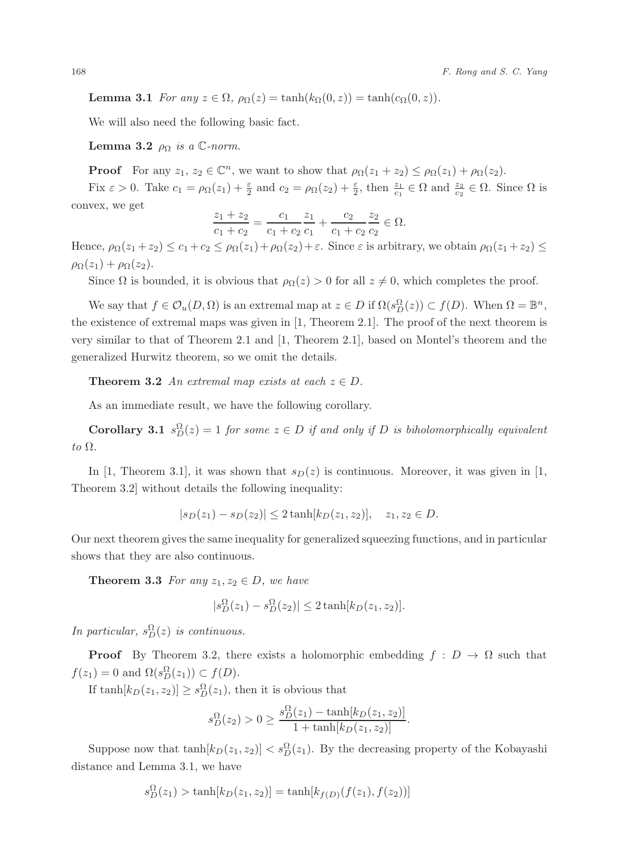**Lemma 3.1** *For any*  $z \in \Omega$ ,  $\rho_{\Omega}(z) = \tanh(k_{\Omega}(0, z)) = \tanh(c_{\Omega}(0, z)).$ 

We will also need the following basic fact.

**Lemma 3.2**  $\rho_{\Omega}$  *is a* C-norm.

**Proof** For any  $z_1, z_2 \in \mathbb{C}^n$ , we want to show that  $\rho_{\Omega}(z_1 + z_2) \leq \rho_{\Omega}(z_1) + \rho_{\Omega}(z_2)$ .

Fix  $\varepsilon > 0$ . Take  $c_1 = \rho_{\Omega}(z_1) + \frac{\varepsilon}{2}$  and  $c_2 = \rho_{\Omega}(z_2) + \frac{\varepsilon}{2}$ , then  $\frac{z_1}{c_1} \in \Omega$  and  $\frac{z_2}{c_2} \in \Omega$ . Since  $\Omega$  is convex, we get

$$
\frac{z_1 + z_2}{c_1 + c_2} = \frac{c_1}{c_1 + c_2} \frac{z_1}{c_1} + \frac{c_2}{c_1 + c_2} \frac{z_2}{c_2} \in \Omega.
$$

Hence,  $\rho_{\Omega}(z_1 + z_2) \le c_1 + c_2 \le \rho_{\Omega}(z_1) + \rho_{\Omega}(z_2) + \varepsilon$ . Since  $\varepsilon$  is arbitrary, we obtain  $\rho_{\Omega}(z_1 + z_2) \le$  $\rho_{\Omega}(z_1) + \rho_{\Omega}(z_2).$ 

Since  $\Omega$  is bounded, it is obvious that  $\rho_{\Omega}(z) > 0$  for all  $z \neq 0$ , which completes the proof.

We say that  $f \in \mathcal{O}_u(D, \Omega)$  is an extremal map at  $z \in D$  if  $\Omega(s_D^{\Omega}(z)) \subset f(D)$ . When  $\Omega = \mathbb{B}^n$ , the existence of extremal maps was given in [1, Theorem 2.1]. The proof of the next theorem is very similar to that of Theorem 2.1 and [1, Theorem 2.1], based on Montel's theorem and the generalized Hurwitz theorem, so we omit the details.

**Theorem 3.2** *An extremal map exists at each*  $z \in D$ *.* 

As an immediate result, we have the following corollary.

**Corollary 3.1**  $s_D^{\Omega}(z) = 1$  *for some*  $z \in D$  *if and only if* D *is biholomorphically equivalent to* Ω*.*

In [1, Theorem 3.1], it was shown that  $s_D(z)$  is continuous. Moreover, it was given in [1, Theorem 3.2] without details the following inequality:

$$
|s_D(z_1) - s_D(z_2)| \le 2 \tanh[k_D(z_1, z_2)], \quad z_1, z_2 \in D.
$$

Our next theorem gives the same inequality for generalized squeezing functions, and in particular shows that they are also continuous.

**Theorem 3.3** *For any*  $z_1, z_2 \in D$ *, we have* 

$$
|s_D^{\Omega}(z_1) - s_D^{\Omega}(z_2)| \le 2 \tanh[k_D(z_1, z_2)].
$$

*In particular,*  $s_D^{\Omega}(z)$  *is continuous.* 

**Proof** By Theorem 3.2, there exists a holomorphic embedding  $f : D \to \Omega$  such that  $f(z_1) = 0$  and  $\Omega(s_D^{\Omega}(z_1)) \subset f(D)$ .

If  $\tanh[k_D(z_1, z_2)] \ge s_D^{\Omega}(z_1)$ , then it is obvious that

$$
s_D^{\Omega}(z_2) > 0 \ge \frac{s_D^{\Omega}(z_1) - \tanh[k_D(z_1, z_2)]}{1 + \tanh[k_D(z_1, z_2)]}.
$$

Suppose now that  $\tanh[k_D(z_1, z_2)] < s_D^{\Omega}(z_1)$ . By the decreasing property of the Kobayashi distance and Lemma 3.1, we have

$$
s_D^{\Omega}(z_1) > \tanh[k_D(z_1, z_2)] = \tanh[k_{f(D)}(f(z_1), f(z_2))]
$$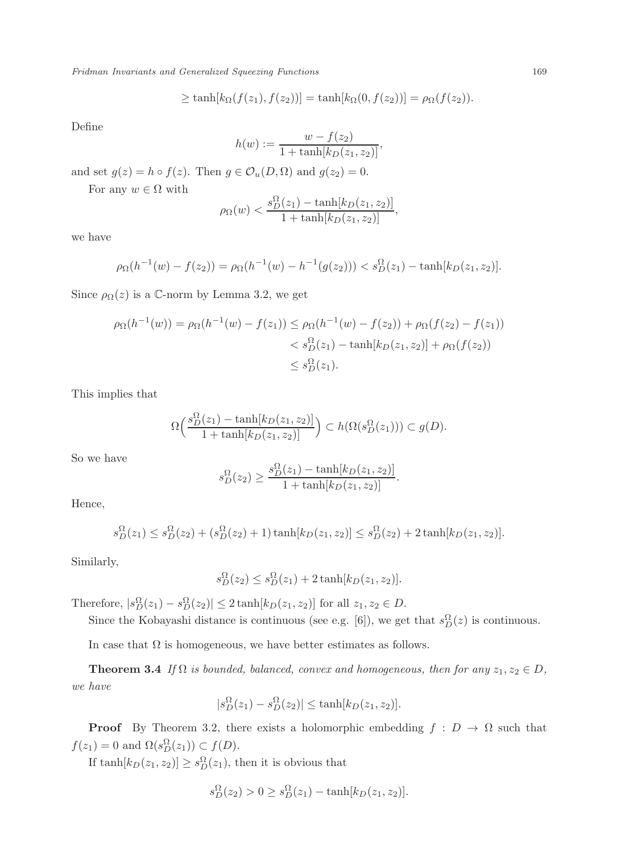$$
\geq \tanh[k_{\Omega}(f(z_1), f(z_2))] = \tanh[k_{\Omega}(0, f(z_2))] = \rho_{\Omega}(f(z_2)).
$$

Define

$$
h(w) := \frac{w - f(z_2)}{1 + \tanh[k_D(z_1, z_2)]},
$$

and set  $g(z) = h \circ f(z)$ . Then  $g \in \mathcal{O}_u(D, \Omega)$  and  $g(z_2) = 0$ .

For any  $w \in \Omega$  with

$$
\rho_{\Omega}(w) < \frac{s_D^{\Omega}(z_1) - \tanh[k_D(z_1, z_2)]}{1 + \tanh[k_D(z_1, z_2)]},
$$

we have

$$
\rho_{\Omega}(h^{-1}(w) - f(z_2)) = \rho_{\Omega}(h^{-1}(w) - h^{-1}(g(z_2))) < s_D^{\Omega}(z_1) - \tanh[k_D(z_1, z_2)].
$$

Since  $\rho_{\Omega}(z)$  is a C-norm by Lemma 3.2, we get

$$
\rho_{\Omega}(h^{-1}(w)) = \rho_{\Omega}(h^{-1}(w) - f(z_1)) \le \rho_{\Omega}(h^{-1}(w) - f(z_2)) + \rho_{\Omega}(f(z_2) - f(z_1))
$$
  

$$
< s_D^{\Omega}(z_1) - \tanh[k_D(z_1, z_2)] + \rho_{\Omega}(f(z_2))
$$
  

$$
\le s_D^{\Omega}(z_1).
$$

This implies that

$$
\Omega\Big(\frac{s_D^{\Omega}(z_1) - \tanh[k_D(z_1, z_2)]}{1 + \tanh[k_D(z_1, z_2)]}\Big) \subset h(\Omega(s_D^{\Omega}(z_1))) \subset g(D).
$$

So we have

$$
s_D^{\Omega}(z_2) \ge \frac{s_D^{\Omega}(z_1) - \tanh[k_D(z_1, z_2)]}{1 + \tanh[k_D(z_1, z_2)]}.
$$

Hence,

$$
s_D^{\Omega}(z_1) \le s_D^{\Omega}(z_2) + (s_D^{\Omega}(z_2) + 1)\tanh[k_D(z_1, z_2)] \le s_D^{\Omega}(z_2) + 2\tanh[k_D(z_1, z_2)].
$$

Similarly,

$$
s_D^{\Omega}(z_2) \leq s_D^{\Omega}(z_1) + 2 \tanh[k_D(z_1, z_2)].
$$

Therefore,  $|s_D^{\Omega}(z_1) - s_D^{\Omega}(z_2)| \leq 2 \tanh[k_D(z_1, z_2)]$  for all  $z_1, z_2 \in D$ .

Since the Kobayashi distance is continuous (see e.g. [6]), we get that  $s_D^{\Omega}(z)$  is continuous.

In case that  $\Omega$  is homogeneous, we have better estimates as follows.

**Theorem 3.4** *If*  $\Omega$  *is bounded, balanced, convex and homogeneous, then for any*  $z_1, z_2 \in D$ *, we have*

$$
|s_D^{\Omega}(z_1) - s_D^{\Omega}(z_2)| \le \tanh[k_D(z_1, z_2)].
$$

**Proof** By Theorem 3.2, there exists a holomorphic embedding  $f : D \to \Omega$  such that  $f(z_1) = 0$  and  $\Omega(s_D^{\Omega}(z_1)) \subset f(D)$ .

If  $\tanh[k_D(z_1, z_2)] \ge s_D^{\Omega}(z_1)$ , then it is obvious that

$$
s_D^{\Omega}(z_2) > 0 \ge s_D^{\Omega}(z_1) - \tanh[k_D(z_1, z_2)].
$$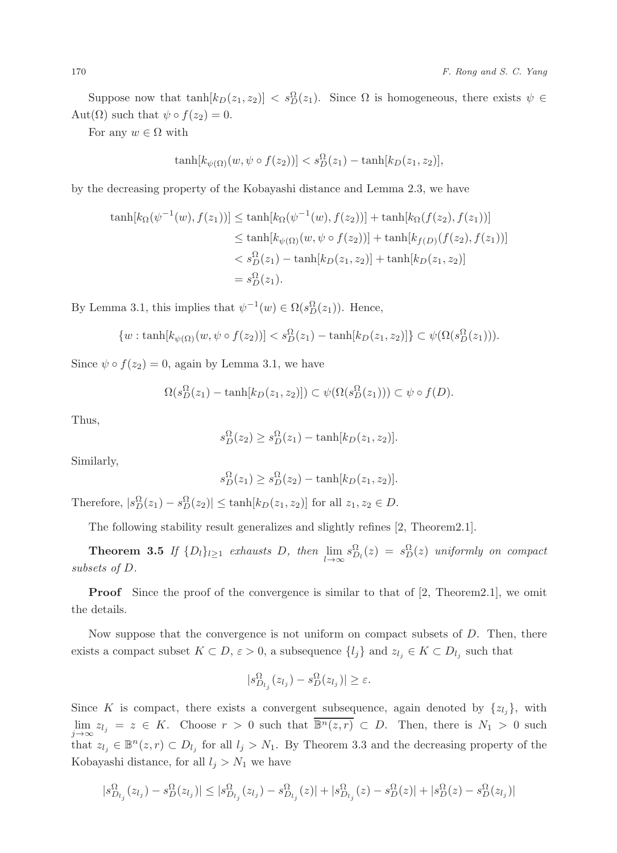Suppose now that  $\tanh[k_D(z_1, z_2)] < s_D^{\Omega}(z_1)$ . Since  $\Omega$  is homogeneous, there exists  $\psi \in (0, \infty)$ Aut $(\Omega)$  such that  $\psi \circ f(z_2) = 0$ .

For any  $w \in \Omega$  with

$$
\tanh[k_{\psi(\Omega)}(w,\psi\circ f(z_2))] < s_D^{\Omega}(z_1) - \tanh[k_D(z_1,z_2)],
$$

by the decreasing property of the Kobayashi distance and Lemma 2.3, we have

$$
\tanh[k_{\Omega}(\psi^{-1}(w), f(z_1))] \le \tanh[k_{\Omega}(\psi^{-1}(w), f(z_2))] + \tanh[k_{\Omega}(f(z_2), f(z_1))]
$$
  

$$
\le \tanh[k_{\psi(\Omega)}(w, \psi \circ f(z_2))] + \tanh[k_{f(D)}(f(z_2), f(z_1))]
$$
  

$$
< s_D^{\Omega}(z_1) - \tanh[k_D(z_1, z_2)] + \tanh[k_D(z_1, z_2)]
$$
  

$$
= s_D^{\Omega}(z_1).
$$

By Lemma 3.1, this implies that  $\psi^{-1}(w) \in \Omega(s_D^{\Omega}(z_1))$ . Hence,

$$
\{w:\tanh[k_{\psi(\Omega)}(w,\psi\circ f(z_2))] < s_D^{\Omega}(z_1) - \tanh[k_D(z_1,z_2)]\} \subset \psi(\Omega(s_D^{\Omega}(z_1))).
$$

Since  $\psi \circ f(z_2) = 0$ , again by Lemma 3.1, we have

$$
\Omega(s_D^{\Omega}(z_1) - \tanh[k_D(z_1, z_2)]) \subset \psi(\Omega(s_D^{\Omega}(z_1))) \subset \psi \circ f(D).
$$

Thus,

$$
s_D^{\Omega}(z_2) \geq s_D^{\Omega}(z_1) - \tanh[k_D(z_1, z_2)].
$$

Similarly,

$$
s_D^{\Omega}(z_1) \geq s_D^{\Omega}(z_2) - \tanh[k_D(z_1, z_2)].
$$

Therefore,  $|s_D^{\Omega}(z_1) - s_D^{\Omega}(z_2)| \le \tanh[k_D(z_1, z_2)]$  for all  $z_1, z_2 \in D$ .

The following stability result generalizes and slightly refines [2, Theorem2.1].

**Theorem 3.5** *If*  $\{D_l\}_{l\geq 1}$  *exhausts D, then*  $\lim_{l\to\infty} s_{D_l}^{\Omega}(z) = s_D^{\Omega}(z)$  *uniformly on compact sets of D subsets of* D*.*

**Proof** Since the proof of the convergence is similar to that of [2, Theorem2.1], we omit the details.

Now suppose that the convergence is not uniform on compact subsets of  $D$ . Then, there exists a compact subset  $K \subset D$ ,  $\varepsilon > 0$ , a subsequence  $\{l_j\}$  and  $z_{l_j} \in K \subset D_{l_j}$  such that

$$
|s_{D_{l_j}}^{\Omega}(z_{l_j}) - s_D^{\Omega}(z_{l_j})| \geq \varepsilon.
$$

Since K is compact, there exists a convergent subsequence, again denoted by  $\{z_{l_j}\}\$ , with lim  $z_{l_j} = z \in K$ . Choose  $r > 0$  such that  $\overline{\mathbb{B}^n(z,r)} \subset D$ . Then, there is  $N_1 > 0$  such that  $z_{l_j} \in \mathbb{B}^n(x, r) \subset D$ , for all  $l_i > N$ . Pre Theorem 2.2 and the decreasing property of the that  $z_{l_j} \in \mathbb{B}^n(z, r) \subset D_{l_j}$  for all  $l_j > N_1$ . By Theorem 3.3 and the decreasing property of the Kobayashi distance, for all  $l_j > N_1$  we have

$$
|s_{D_{l_j}}^{\Omega}(z_{l_j}) - s_D^{\Omega}(z_{l_j})| \leq |s_{D_{l_j}}^{\Omega}(z_{l_j}) - s_{D_{l_j}}^{\Omega}(z)| + |s_{D_{l_j}}^{\Omega}(z) - s_D^{\Omega}(z)| + |s_D^{\Omega}(z) - s_D^{\Omega}(z_{l_j})|
$$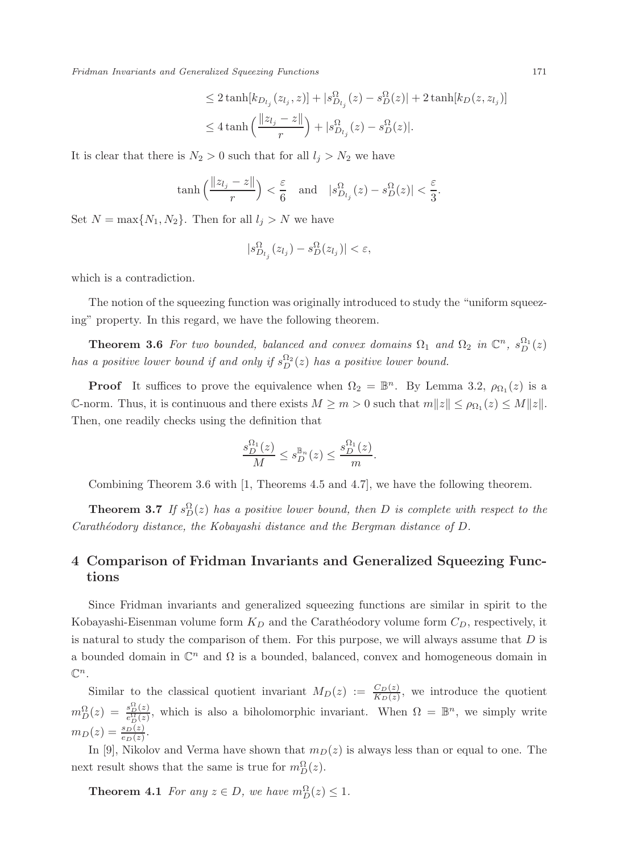$$
\leq 2 \tanh[k_{D_{l_j}}(z_{l_j}, z)] + |s_{D_{l_j}}^{\Omega}(z) - s_D^{\Omega}(z)| + 2 \tanh[k_D(z, z_{l_j})]
$$
  

$$
\leq 4 \tanh\left(\frac{\|z_{l_j} - z\|}{r}\right) + |s_{D_{l_j}}^{\Omega}(z) - s_D^{\Omega}(z)|.
$$

It is clear that there is  $N_2 > 0$  such that for all  $l_j > N_2$  we have

$$
\tanh\left(\frac{\|z_{l_j}-z\|}{r}\right) < \frac{\varepsilon}{6} \quad \text{and} \quad |s_{D_{l_j}}^{\Omega}(z) - s_D^{\Omega}(z)| < \frac{\varepsilon}{3}.
$$

Set  $N = \max\{N_1, N_2\}$ . Then for all  $l_j > N$  we have

$$
|s_{D_{l_j}}^{\Omega}(z_{l_j}) - s_D^{\Omega}(z_{l_j})| < \varepsilon,
$$

which is a contradiction.

The notion of the squeezing function was originally introduced to study the "uniform squeezing" property. In this regard, we have the following theorem.

**Theorem 3.6** *For two bounded, balanced and convex domains*  $\Omega_1$  *and*  $\Omega_2$  *in*  $\mathbb{C}^n$ *,*  $s_D^{\Omega_1}(z)$ *has a positive lower bound if and only if*  $s_D^{\Omega_2}(z)$  *has a positive lower bound.* 

**Proof** It suffices to prove the equivalence when  $\Omega_2 = \mathbb{B}^n$ . By Lemma 3.2,  $\rho_{\Omega_1}(z)$  is a C-norm. Thus, it is continuous and there exists  $M \geq m > 0$  such that  $m||z|| \leq \rho_{\Omega_1}(z) \leq M||z||$ . Then, one readily checks using the definition that

$$
\frac{s_D^{\Omega_1}(z)}{M} \le s_D^{\mathbb{B}_n}(z) \le \frac{s_D^{\Omega_1}(z)}{m}.
$$

Combining Theorem 3.6 with [1, Theorems 4.5 and 4.7], we have the following theorem.

**Theorem 3.7** *If*  $s_D^{\Omega}(z)$  *has a positive lower bound, then D is complete with respect to the Carath´eodory distance, the Kobayashi distance and the Bergman distance of* D*.*

# **4 Comparison of Fridman Invariants and Generalized Squeezing Functions**

Since Fridman invariants and generalized squeezing functions are similar in spirit to the Kobayashi-Eisenman volume form  $K_D$  and the Carathéodory volume form  $C_D$ , respectively, it is natural to study the comparison of them. For this purpose, we will always assume that  $D$  is a bounded domain in  $\mathbb{C}^n$  and  $\Omega$  is a bounded, balanced, convex and homogeneous domain in  $\mathbb{C}^n$ .

Similar to the classical quotient invariant  $M_D(z) := \frac{C_D(z)}{K_D(z)}$ , we introduce the quotient  $m_D^{\Omega}(z) = \frac{s_D^{\Omega}(z)}{e_D^{\Omega}(z)}$  $\frac{s_D^2(z)}{c_D(z)}$ , which is also a biholomorphic invariant. When  $\Omega = \mathbb{B}^n$ , we simply write  $m_D(z) = \frac{s_D(z)}{e_D(z)}$ .

In [9], Nikolov and Verma have shown that  $m_D(z)$  is always less than or equal to one. The next result shows that the same is true for  $m_D^{\Omega}(z)$ .

**Theorem 4.1** *For any*  $z \in D$ *, we have*  $m_D^{\Omega}(z) \leq 1$ *.*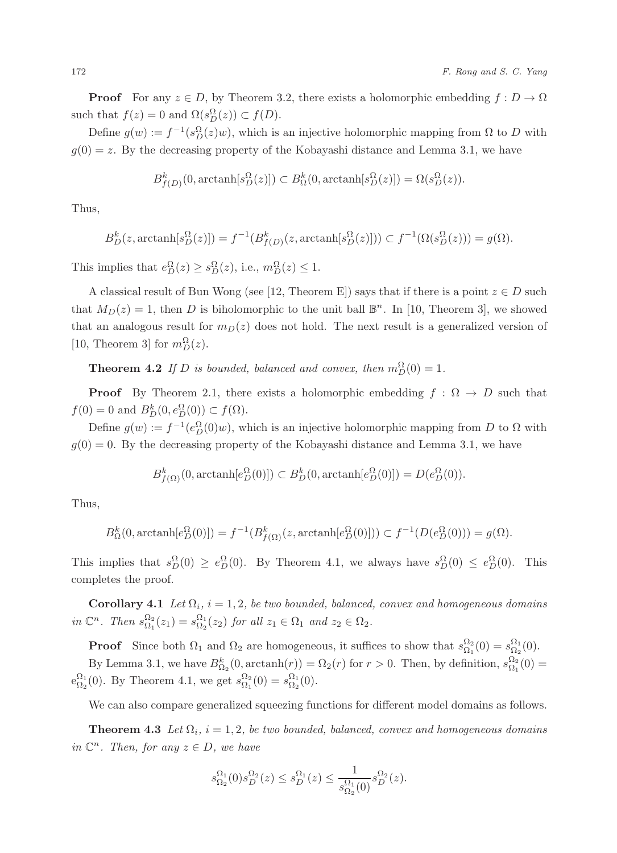**Proof** For any  $z \in D$ , by Theorem 3.2, there exists a holomorphic embedding  $f: D \to \Omega$ such that  $f(z) = 0$  and  $\Omega(s_D^{\Omega}(z)) \subset f(D)$ .

Define  $g(w) := f^{-1}(s_D^{\Omega}(z)w)$ , which is an injective holomorphic mapping from  $\Omega$  to D with  $g(0) = z$ . By the decreasing property of the Kobayashi distance and Lemma 3.1, we have

$$
B_{f(D)}^{k}(0, \text{arctanh}[s_D^{\Omega}(z)]) \subset B_{\Omega}^{k}(0, \text{arctanh}[s_D^{\Omega}(z)]) = \Omega(s_D^{\Omega}(z)).
$$

Thus,

$$
B_D^k(z, \operatorname{arctanh}[s_D^{\Omega}(z)]) = f^{-1}(B_{f(D)}^k(z, \operatorname{arctanh}[s_D^{\Omega}(z)])) \subset f^{-1}(\Omega(s_D^{\Omega}(z))) = g(\Omega).
$$

This implies that  $e_D^{\Omega}(z) \geq s_D^{\Omega}(z)$ , i.e.,  $m_D^{\Omega}(z) \leq 1$ .

A classical result of Bun Wong (see [12, Theorem E]) says that if there is a point  $z \in D$  such that  $M_D(z) = 1$ , then D is biholomorphic to the unit ball  $\mathbb{B}^n$ . In [10, Theorem 3], we showed that an analogous result for  $m_D(z)$  does not hold. The next result is a generalized version of [10, Theorem 3] for  $m_D^{\Omega}(z)$ .

**Theorem 4.2** *If* D *is bounded, balanced and convex, then*  $m_D^{\Omega}(0) = 1$ *.* 

**Proof** By Theorem 2.1, there exists a holomorphic embedding  $f : \Omega \to D$  such that  $f(0) = 0$  and  $B_D^k(0, e_D^{\Omega}(0)) \subset f(\Omega)$ .

Define  $g(w) := f^{-1}(e_D^{\Omega}(0)w)$ , which is an injective holomorphic mapping from D to  $\Omega$  with  $g(0) = 0$ . By the decreasing property of the Kobayashi distance and Lemma 3.1, we have

 $B_{f(\Omega)}^{k}(0, \text{arctanh}[e_D^{\Omega}(0)]) \subset B_D^{k}(0, \text{arctanh}[e_D^{\Omega}(0)]) = D(e_D^{\Omega}(0)).$ 

Thus,

$$
B_{\Omega}^{k}(0, \text{arctanh}[e_D^{\Omega}(0)]) = f^{-1}(B_{f(\Omega)}^{k}(z, \text{arctanh}[e_D^{\Omega}(0)])) \subset f^{-1}(D(e_D^{\Omega}(0))) = g(\Omega).
$$

This implies that  $s_D^{\Omega}(0) \ge e_D^{\Omega}(0)$ . By Theorem 4.1, we always have  $s_D^{\Omega}(0) \le e_D^{\Omega}(0)$ . This completes the proof.

**Corollary 4.1** *Let*  $\Omega_i$ *,*  $i = 1, 2$ *, be two bounded, balanced, convex and homogeneous domains in*  $\mathbb{C}^n$ *. Then*  $s_{\Omega_1}^{\Omega_2}(z_1) = s_{\Omega_2}^{\Omega_1}(z_2)$  *for all*  $z_1 \in \Omega_1$  *and*  $z_2 \in \Omega_2$ *.* 

**Proof** Since both  $\Omega_1$  and  $\Omega_2$  are homogeneous, it suffices to show that  $s_{\Omega_1}^{\Omega_2}(0) = s_{\Omega_2}(0)$ . By Lemma 3.1, we have  $B_{\Omega_2}^k(0, \arctanh(r)) = \Omega_2(r)$  for  $r > 0$ . Then, by definition,  $s_{\Omega_1}^{\Omega_2}(0) =$  $e_{\Omega_2}^{\Omega_1}(0)$ . By Theorem 4.1, we get  $s_{\Omega_1}^{\Omega_2}(0) = s_{\Omega_2}^{\Omega_1}(0)$ .

We can also compare generalized squeezing functions for different model domains as follows.

**Theorem 4.3** Let  $\Omega_i$ ,  $i = 1, 2$ , be two bounded, balanced, convex and homogeneous domains *in*  $\mathbb{C}^n$ *. Then, for any*  $z \in D$ *, we have* 

$$
s_{\Omega_2}^{\Omega_1}(0)s_D^{\Omega_2}(z) \le s_D^{\Omega_1}(z) \le \frac{1}{s_{\Omega_2}^{\Omega_1}(0)}s_D^{\Omega_2}(z).
$$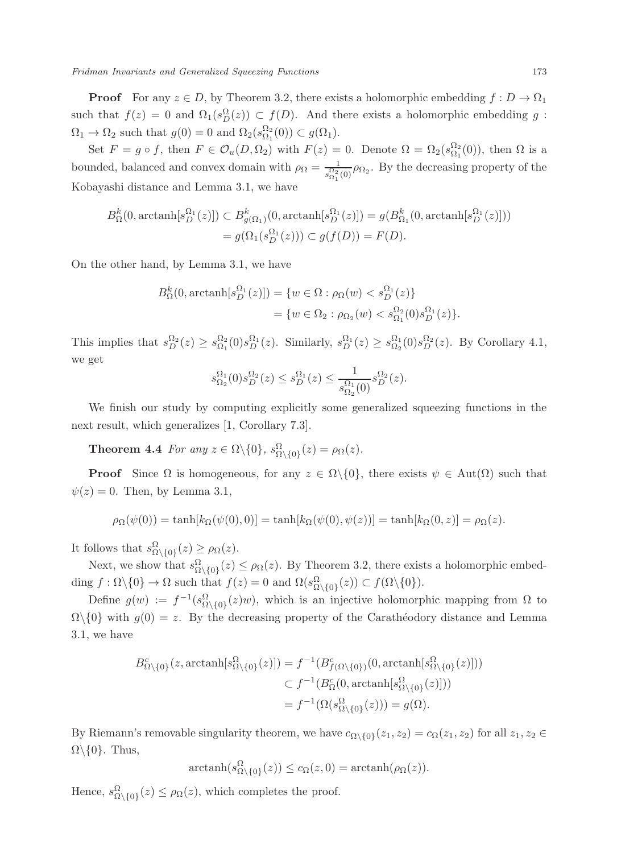**Proof** For any  $z \in D$ , by Theorem 3.2, there exists a holomorphic embedding  $f: D \to \Omega_1$ such that  $f(z) = 0$  and  $\Omega_1(s_D^{\Omega}(z)) \subset f(D)$ . And there exists a holomorphic embedding g:  $\Omega_1 \to \Omega_2$  such that  $g(0) = 0$  and  $\Omega_2(s_{\Omega_1}^{\Omega_2}(0)) \subset g(\Omega_1)$ .<br>Set Equal that  $E \subset \Omega_1(\Omega_1)$  with  $E(x)$ .

Set  $F = g \circ f$ , then  $F \in \mathcal{O}_u(D, \Omega_2)$  with  $F(z) = 0$ . Denote  $\Omega = \Omega_2(s_{\Omega_1}^{\Omega_2}(0))$ , then  $\Omega$  is a bounded, balanced and convex domain with  $\rho_{\Omega} = \frac{1}{s_{\Omega_1}^{0.2}(0)} \rho_{\Omega_2}$ . By the decreasing property of the  $K_1$ -bounding distance and Laurence 2.1 and have Kobayashi distance and Lemma 3.1, we have

$$
B_{\Omega}^{k}(0, \arctanh[s_{D}^{\Omega_{1}}(z)]) \subset B_{g(\Omega_{1})}^{k}(0, \arctanh[s_{D}^{\Omega_{1}}(z)]) = g(B_{\Omega_{1}}^{k}(0, \arctanh[s_{D}^{\Omega_{1}}(z)]))
$$
  
=  $g(\Omega_{1}(s_{D}^{\Omega_{1}}(z))) \subset g(f(D)) = F(D).$ 

On the other hand, by Lemma 3.1, we have

$$
B_{\Omega}^{k}(0, \text{arctanh}[s_{D}^{\Omega_{1}}(z)]) = \{ w \in \Omega : \rho_{\Omega}(w) < s_{D}^{\Omega_{1}}(z) \} \\
= \{ w \in \Omega_{2} : \rho_{\Omega_{2}}(w) < s_{\Omega_{1}}^{\Omega_{2}}(0) s_{D}^{\Omega_{1}}(z) \}.
$$

This implies that  $s_D^{\Omega_2}(z) \geq s_{\Omega_1}^{\Omega_2}(0) s_D^{\Omega_1}(z)$ . Similarly,  $s_D^{\Omega_1}(z) \geq s_{\Omega_2}^{\Omega_1}(0) s_D^{\Omega_2}(z)$ . By Corollary 4.1, we get

$$
s_{\Omega_2}^{\Omega_1}(0)s_D^{\Omega_2}(z) \le s_D^{\Omega_1}(z) \le \frac{1}{s_{\Omega_2}^{\Omega_1}(0)}s_D^{\Omega_2}(z).
$$

We finish our study by computing explicitly some generalized squeezing functions in the next result, which generalizes [1, Corollary 7.3].

**Theorem 4.4** *For any*  $z \in \Omega \setminus \{0\}$ *,*  $s_{\Omega \setminus \{0\}}^{\Omega}(z) = \rho_{\Omega}(z)$ *.* 

**Proof** Since  $\Omega$  is homogeneous, for any  $z \in \Omega \setminus \{0\}$ , there exists  $\psi \in Aut(\Omega)$  such that  $\psi(z) = 0$ . Then, by Lemma 3.1,

$$
\rho_{\Omega}(\psi(0)) = \tanh[k_{\Omega}(\psi(0), 0)] = \tanh[k_{\Omega}(\psi(0), \psi(z))] = \tanh[k_{\Omega}(0, z)] = \rho_{\Omega}(z).
$$

It follows that  $s_{\Omega \setminus \{0\}}^{\Omega}(z) \geq \rho_{\Omega}(z)$ .

Next, we show that  $s_{\Omega\setminus\{0\}}^{\Omega}(z) \leq \rho_{\Omega}(z)$ . By Theorem 3.2, there exists a holomorphic embedding  $f : \Omega \setminus \{0\} \to \Omega$  such that  $f(z) = 0$  and  $\Omega(s_{\Omega \setminus \{0\}}^{\Omega}(z)) \subset f(\Omega \setminus \{0\}).$ 

Define  $g(w) := f^{-1}(s_{\Omega \setminus \{0\}}^{\Omega}(z)w)$ , which is an injective holomorphic mapping from  $\Omega$  to  $\Omega\setminus\{0\}$  with  $g(0) = z$ . By the decreasing property of the Carathéodory distance and Lemma 3.1, we have

$$
B_{\Omega\setminus\{0\}}^c(z, \operatorname{arctanh}[s_{\Omega\setminus\{0\}}^{\Omega}(z)]) = f^{-1}(B_{f(\Omega\setminus\{0\})}^c(0, \operatorname{arctanh}[s_{\Omega\setminus\{0\}}^{\Omega}(z)]))
$$
  

$$
\subset f^{-1}(B_{\Omega}^c(0, \operatorname{arctanh}[s_{\Omega\setminus\{0\}}^{\Omega}(z)]))
$$

$$
= f^{-1}(\Omega(s_{\Omega\setminus\{0\}}^{\Omega}(z))) = g(\Omega).
$$

By Riemann's removable singularity theorem, we have  $c_{\Omega\setminus\{0\}}(z_1, z_2) = c_{\Omega}(z_1, z_2)$  for all  $z_1, z_2 \in$  $\Omega\backslash\{0\}$ . Thus,

$$
\arctanh(s_{\Omega\setminus\{0\}}^{\Omega}(z)) \le c_{\Omega}(z,0) = \arctanh(\rho_{\Omega}(z)).
$$

Hence,  $s^{\Omega}_{\Omega \setminus \{0\}}(z) \leq \rho_{\Omega}(z)$ , which completes the proof.